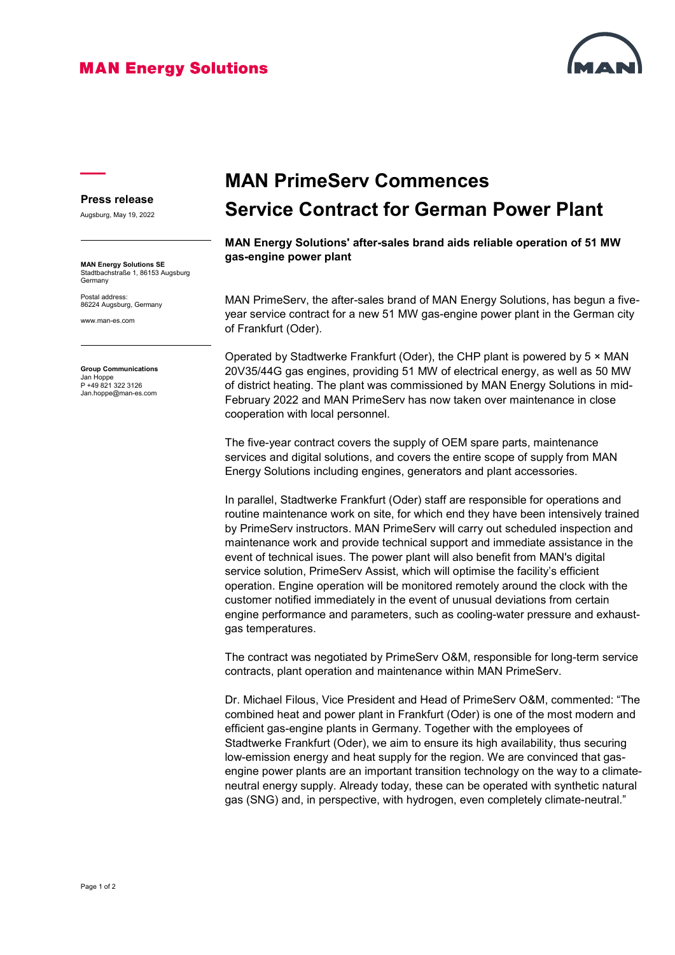## **MAN Energy Solutions**



## **Press release**

Augsburg, May 19, 2022

**MAN Energy Solutions SE** Stadtbachstraße 1, 86153 Augsburg Germany

Postal address: 86224 Augsburg, Germany

www.man-es.com

**Group Communications** Jan Hoppe P +49 821 322 3126 Jan.hoppe@man-es.com

## **MAN PrimeServ Commences Service Contract for German Power Plant**

**MAN Energy Solutions' after-sales brand aids reliable operation of 51 MW gas-engine power plant**

MAN PrimeServ, the after-sales brand of MAN Energy Solutions, has begun a fiveyear service contract for a new 51 MW gas-engine power plant in the German city of Frankfurt (Oder).

Operated by Stadtwerke Frankfurt (Oder), the CHP plant is powered by 5 × MAN 20V35/44G gas engines, providing 51 MW of electrical energy, as well as 50 MW of district heating. The plant was commissioned by MAN Energy Solutions in mid-February 2022 and MAN PrimeServ has now taken over maintenance in close cooperation with local personnel.

The five-year contract covers the supply of OEM spare parts, maintenance services and digital solutions, and covers the entire scope of supply from MAN Energy Solutions including engines, generators and plant accessories.

In parallel, Stadtwerke Frankfurt (Oder) staff are responsible for operations and routine maintenance work on site, for which end they have been intensively trained by PrimeServ instructors. MAN PrimeServ will carry out scheduled inspection and maintenance work and provide technical support and immediate assistance in the event of technical isues. The power plant will also benefit from MAN's digital service solution, PrimeServ Assist, which will optimise the facility's efficient operation. Engine operation will be monitored remotely around the clock with the customer notified immediately in the event of unusual deviations from certain engine performance and parameters, such as cooling-water pressure and exhaustgas temperatures.

The contract was negotiated by PrimeServ O&M, responsible for long-term service contracts, plant operation and maintenance within MAN PrimeServ.

Dr. Michael Filous, Vice President and Head of PrimeServ O&M, commented: "The combined heat and power plant in Frankfurt (Oder) is one of the most modern and efficient gas-engine plants in Germany. Together with the employees of Stadtwerke Frankfurt (Oder), we aim to ensure its high availability, thus securing low-emission energy and heat supply for the region. We are convinced that gasengine power plants are an important transition technology on the way to a climateneutral energy supply. Already today, these can be operated with synthetic natural gas (SNG) and, in perspective, with hydrogen, even completely climate-neutral."